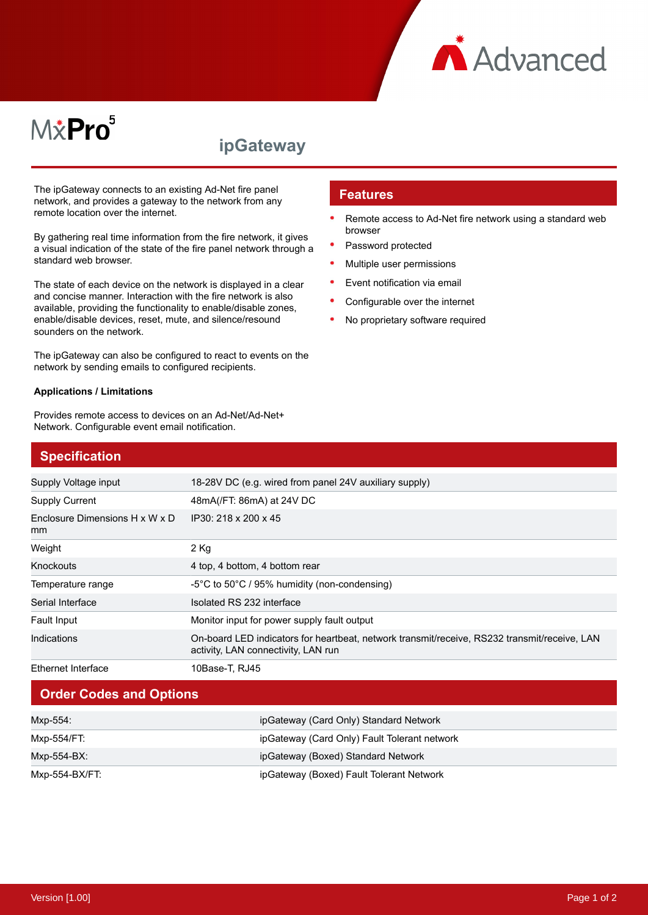

# M*\**Pro<sup>5</sup>

# **ipGateway**

The ipGateway connects to an existing Ad-Net fire panel network, and provides a gateway to the network from any remote location over the internet.

By gathering real time information from the fire network, it gives a visual indication of the state of the fire panel network through a standard web browser.

The state of each device on the network is displayed in a clear and concise manner. Interaction with the fire network is also available, providing the functionality to enable/disable zones, enable/disable devices, reset, mute, and silence/resound sounders on the network.

The ipGateway can also be configured to react to events on the network by sending emails to configured recipients.

#### **Applications / Limitations**

Provides remote access to devices on an Ad-Net/Ad-Net+ Network. Configurable event email notification.

#### **Features**

- Remote access to Ad-Net fire network using a standard web browser
- Password protected
- Multiple user permissions
- Event notification via email
- Configurable over the internet
- No proprietary software required

| <b>Specification</b>                 |                                                                                                                                     |
|--------------------------------------|-------------------------------------------------------------------------------------------------------------------------------------|
| Supply Voltage input                 | 18-28V DC (e.g. wired from panel 24V auxiliary supply)                                                                              |
| <b>Supply Current</b>                | 48mA(/FT: 86mA) at 24V DC                                                                                                           |
| Enclosure Dimensions H x W x D<br>mm | IP30: 218 x 200 x 45                                                                                                                |
| Weight                               | $2$ Kg                                                                                                                              |
| Knockouts                            | 4 top, 4 bottom, 4 bottom rear                                                                                                      |
| Temperature range                    | $-5^{\circ}$ C to 50 $^{\circ}$ C / 95% humidity (non-condensing)                                                                   |
| Serial Interface                     | Isolated RS 232 interface                                                                                                           |
| Fault Input                          | Monitor input for power supply fault output                                                                                         |
| Indications                          | On-board LED indicators for heartbeat, network transmit/receive, RS232 transmit/receive, LAN<br>activity, LAN connectivity, LAN run |
| Ethernet Interface                   | 10Base-T, RJ45                                                                                                                      |

### **Order Codes and Options**

| Mxp-554:       | ipGateway (Card Only) Standard Network       |
|----------------|----------------------------------------------|
| Mxp-554/FT:    | ipGateway (Card Only) Fault Tolerant network |
| Mxp-554-BX:    | ipGateway (Boxed) Standard Network           |
| Mxp-554-BX/FT: | ipGateway (Boxed) Fault Tolerant Network     |